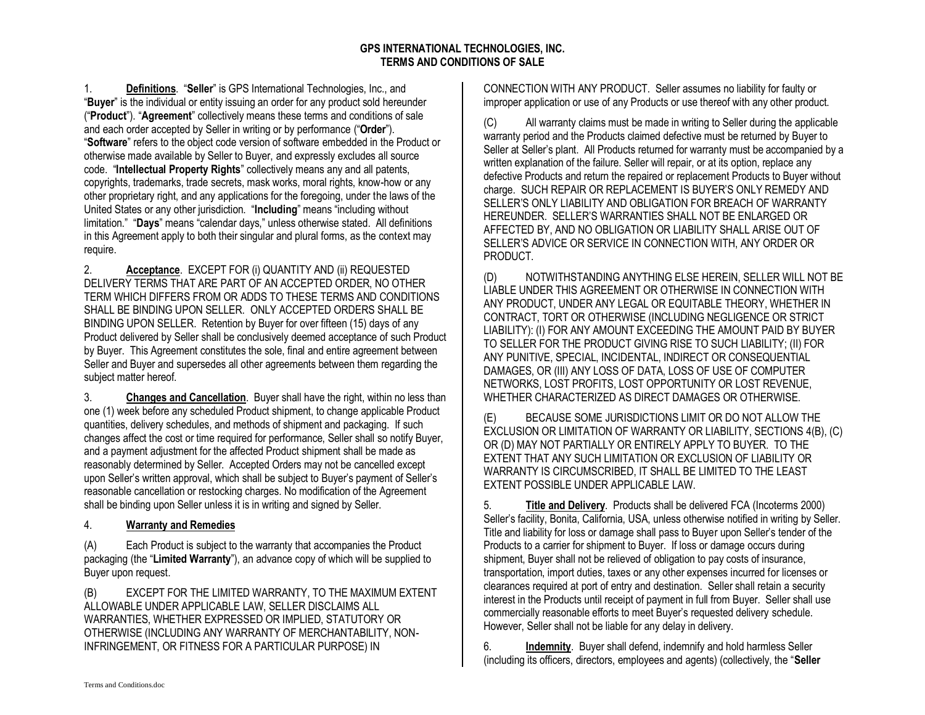## **GPS INTERNATIONAL TECHNOLOGIES, INC. TERMS AND CONDITIONS OF SALE**

1. **Definitions**. "**Seller**" is GPS International Technologies, Inc., and "**Buyer**" is the individual or entity issuing an order for any product sold hereunder ("**Product**"). "**Agreement**" collectively means these terms and conditions of sale and each order accepted by Seller in writing or by performance ("**Order**"). "**Software**" refers to the object code version of software embedded in the Product or otherwise made available by Seller to Buyer, and expressly excludes all source code. "**Intellectual Property Rights**" collectively means any and all patents, copyrights, trademarks, trade secrets, mask works, moral rights, know-how or any other proprietary right, and any applications for the foregoing, under the laws of the United States or any other jurisdiction. "**Including**" means "including without limitation." "**Days**" means "calendar days," unless otherwise stated. All definitions in this Agreement apply to both their singular and plural forms, as the context may require.

2. **Acceptance**. EXCEPT FOR (i) QUANTITY AND (ii) REQUESTED DELIVERY TERMS THAT ARE PART OF AN ACCEPTED ORDER, NO OTHER TERM WHICH DIFFERS FROM OR ADDS TO THESE TERMS AND CONDITIONS SHALL BE BINDING UPON SELLER. ONLY ACCEPTED ORDERS SHALL BE BINDING UPON SELLER. Retention by Buyer for over fifteen (15) days of any Product delivered by Seller shall be conclusively deemed acceptance of such Product by Buyer. This Agreement constitutes the sole, final and entire agreement between Seller and Buyer and supersedes all other agreements between them regarding the subject matter hereof.

3. **Changes and Cancellation**. Buyer shall have the right, within no less than one (1) week before any scheduled Product shipment, to change applicable Product quantities, delivery schedules, and methods of shipment and packaging. If such changes affect the cost or time required for performance, Seller shall so notify Buyer, and a payment adjustment for the affected Product shipment shall be made as reasonably determined by Seller. Accepted Orders may not be cancelled except upon Seller's written approval, which shall be subject to Buyer's payment of Seller's reasonable cancellation or restocking charges. No modification of the Agreement shall be binding upon Seller unless it is in writing and signed by Seller.

## 4. **Warranty and Remedies**

(A) Each Product is subject to the warranty that accompanies the Product packaging (the "**Limited Warranty**"), an advance copy of which will be supplied to Buyer upon request.

(B) EXCEPT FOR THE LIMITED WARRANTY, TO THE MAXIMUM EXTENT ALLOWABLE UNDER APPLICABLE LAW, SELLER DISCLAIMS ALL WARRANTIES, WHETHER EXPRESSED OR IMPLIED, STATUTORY OR OTHERWISE (INCLUDING ANY WARRANTY OF MERCHANTABILITY, NON-INFRINGEMENT, OR FITNESS FOR A PARTICULAR PURPOSE) IN

CONNECTION WITH ANY PRODUCT. Seller assumes no liability for faulty or improper application or use of any Products or use thereof with any other product.

(C) All warranty claims must be made in writing to Seller during the applicable warranty period and the Products claimed defective must be returned by Buyer to Seller at Seller's plant. All Products returned for warranty must be accompanied by a written explanation of the failure. Seller will repair, or at its option, replace any defective Products and return the repaired or replacement Products to Buyer without charge. SUCH REPAIR OR REPLACEMENT IS BUYER'S ONLY REMEDY AND SELLER'S ONLY LIABILITY AND OBLIGATION FOR BREACH OF WARRANTY HEREUNDER. SELLER'S WARRANTIES SHALL NOT BE ENLARGED OR AFFECTED BY, AND NO OBLIGATION OR LIABILITY SHALL ARISE OUT OF SELLER'S ADVICE OR SERVICE IN CONNECTION WITH, ANY ORDER OR PRODUCT.

(D) NOTWITHSTANDING ANYTHING ELSE HEREIN, SELLER WILL NOT BE LIABLE UNDER THIS AGREEMENT OR OTHERWISE IN CONNECTION WITH ANY PRODUCT, UNDER ANY LEGAL OR EQUITABLE THEORY, WHETHER IN CONTRACT, TORT OR OTHERWISE (INCLUDING NEGLIGENCE OR STRICT LIABILITY): (I) FOR ANY AMOUNT EXCEEDING THE AMOUNT PAID BY BUYER TO SELLER FOR THE PRODUCT GIVING RISE TO SUCH LIABILITY; (II) FOR ANY PUNITIVE, SPECIAL, INCIDENTAL, INDIRECT OR CONSEQUENTIAL DAMAGES, OR (III) ANY LOSS OF DATA, LOSS OF USE OF COMPUTER NETWORKS, LOST PROFITS, LOST OPPORTUNITY OR LOST REVENUE, WHETHER CHARACTERIZED AS DIRECT DAMAGES OR OTHERWISE.

(E) BECAUSE SOME JURISDICTIONS LIMIT OR DO NOT ALLOW THE EXCLUSION OR LIMITATION OF WARRANTY OR LIABILITY, SECTIONS 4(B), (C) OR (D) MAY NOT PARTIALLY OR ENTIRELY APPLY TO BUYER. TO THE EXTENT THAT ANY SUCH LIMITATION OR EXCLUSION OF LIABILITY OR WARRANTY IS CIRCUMSCRIBED, IT SHALL BE LIMITED TO THE LEAST EXTENT POSSIBLE UNDER APPLICABLE LAW.

5. **Title and Delivery**. Products shall be delivered FCA (Incoterms 2000) Seller's facility, Bonita, California, USA, unless otherwise notified in writing by Seller. Title and liability for loss or damage shall pass to Buyer upon Seller's tender of the Products to a carrier for shipment to Buyer. If loss or damage occurs during shipment, Buyer shall not be relieved of obligation to pay costs of insurance, transportation, import duties, taxes or any other expenses incurred for licenses or clearances required at port of entry and destination. Seller shall retain a security interest in the Products until receipt of payment in full from Buyer. Seller shall use commercially reasonable efforts to meet Buyer's requested delivery schedule. However, Seller shall not be liable for any delay in delivery.

6. **Indemnity**. Buyer shall defend, indemnify and hold harmless Seller (including its officers, directors, employees and agents) (collectively, the "**Seller**